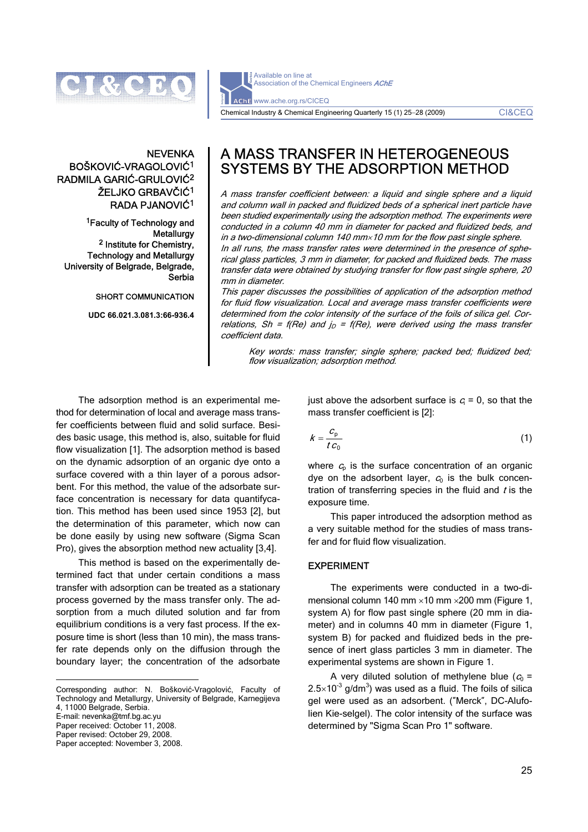

Available on line at Association of the Chemical Engineers AChE AChE www.ache.org.rs/CICEQ Chemical Industry & Chemical Engineering Quarterly 15 (1) 25−28 (2009) CI&CEQ

# **NEVENKA** BOŠKOVIĆ-VRAGOLOVIĆ1 RADMILA GARIĆ-GRULOVIĆ2 ŽELJKO GRBAVČIĆ1 RADA PJANOVIĆ1

1Faculty of Technology and **Metallurgy** 2 Institute for Chemistry, Technology and Metallurgy University of Belgrade, Belgrade, **Serbia** 

SHORT COMMUNICATION

**UDC 66.021.3.081.3:66-936.4** 

# A MASS TRANSFER IN HETEROGENEOUS SYSTEMS BY THE ADSORPTION METHOD

A mass transfer coefficient between: a liquid and single sphere and a liquid and column wall in packed and fluidized beds of a spherical inert particle have been studied experimentally using the adsorption method. The experiments were conducted in a column 40 mm in diameter for packed and fluidized beds, and in a two-dimensional column 140 mm $\times$ 10 mm for the flow past single sphere. In all runs, the mass transfer rates were determined in the presence of spherical glass particles, 3 mm in diameter, for packed and fluidized beds. The mass transfer data were obtained by studying transfer for flow past single sphere, 20 mm in diameter.

This paper discusses the possibilities of application of the adsorption method for fluid flow visualization. Local and average mass transfer coefficients were determined from the color intensity of the surface of the foils of silica gel. Correlations, Sh = f(Re) and  $j<sub>D</sub>$  = f(Re), were derived using the mass transfer coefficient data.

Key words: mass transfer; single sphere; packed bed; fluidized bed; flow visualization; adsorption method.

The adsorption method is an experimental method for determination of local and average mass transfer coefficients between fluid and solid surface. Besides basic usage, this method is, also, suitable for fluid flow visualization [1]. The adsorption method is based on the dynamic adsorption of an organic dye onto a surface covered with a thin layer of a porous adsorbent. For this method, the value of the adsorbate surface concentration is necessary for data quantifycation. This method has been used since 1953 [2], but the determination of this parameter, which now can be done easily by using new software (Sigma Scan Pro), gives the absorption method new actuality [3,4].

This method is based on the experimentally determined fact that under certain conditions a mass transfer with adsorption can be treated as a stationary process governed by the mass transfer only. The adsorption from a much diluted solution and far from equilibrium conditions is a very fast process. If the exposure time is short (less than 10 min), the mass transfer rate depends only on the diffusion through the boundary layer; the concentration of the adsorbate

E-mail: nevenka@tmf.bg.ac.yu

Paper received: October 11, 2008. Paper revised: October 29, 2008.

Paper accepted: November 3, 2008.

just above the adsorbent surface is  $c_i = 0$ , so that the mass transfer coefficient is [2]:

$$
k = \frac{c_{\rm p}}{t \, c_0} \tag{1}
$$

where  $c<sub>p</sub>$  is the surface concentration of an organic dye on the adsorbent layer,  $c_0$  is the bulk concentration of transferring species in the fluid and  $t$  is the exposure time.

This paper introduced the adsorption method as a very suitable method for the studies of mass transfer and for fluid flow visualization.

#### EXPERIMENT

The experiments were conducted in a two-dimensional column 140 mm ×10 mm ×200 mm (Figure 1, system A) for flow past single sphere (20 mm in diameter) and in columns 40 mm in diameter (Figure 1, system B) for packed and fluidized beds in the presence of inert glass particles 3 mm in diameter. The experimental systems are shown in Figure 1.

A very diluted solution of methylene blue  $(c_0 =$ 2.5 $\times$ 10<sup>-3</sup> g/dm<sup>3</sup>) was used as a fluid. The foils of silica gel were used as an adsorbent. (″Merck″, DC-Alufolien Kie-selgel). The color intensity of the surface was determined by "Sigma Scan Pro 1" software.

 $\overline{a}$ Corresponding author: N. Bošković-Vragolović, Faculty of Technology and Metallurgy, University of Belgrade, Karnegijeva 4, 11000 Belgrade, Serbia.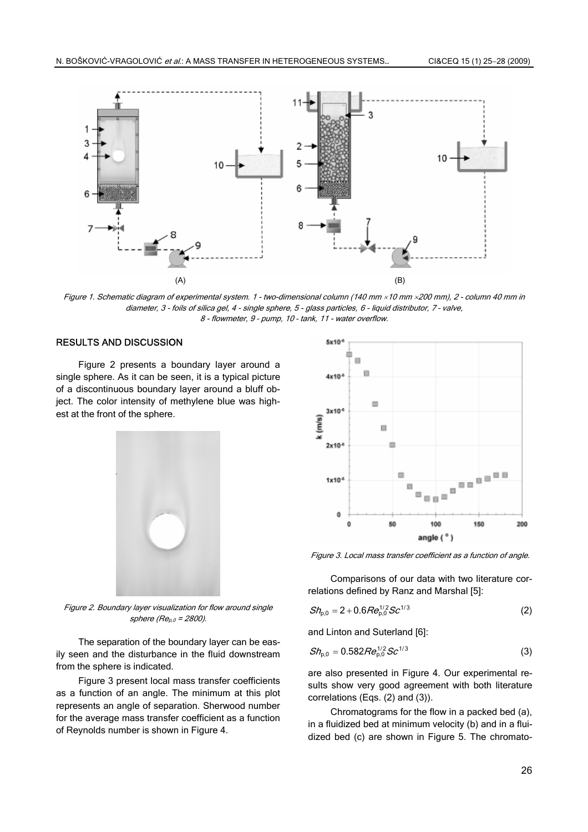

Figure 1. Schematic diagram of experimental system. 1 - two-dimensional column (140 mm ×10 mm ×200 mm), 2 - column 40 mm in diameter, 3 - foils of silica gel, 4 - single sphere, 5 - glass particles, 6 - liquid distributor, 7 – valve, 8 - flowmeter, 9 – pump, 10 – tank, 11 - water overflow.

# RESULTS AND DISCUSSION

Figure 2 presents a boundary layer around a single sphere. As it can be seen, it is a typical picture of a discontinuous boundary layer around a bluff object. The color intensity of methylene blue was highest at the front of the sphere.



Figure 2. Boundary layer visualization for flow around single sphere ( $Re_{p,0}$  = 2800).

The separation of the boundary layer can be easily seen and the disturbance in the fluid downstream from the sphere is indicated.

Figure 3 present local mass transfer coefficients as a function of an angle. The minimum at this plot represents an angle of separation. Sherwood number for the average mass transfer coefficient as a function of Reynolds number is shown in Figure 4.



Figure 3. Local mass transfer coefficient as a function of angle.

Comparisons of our data with two literature correlations defined by Ranz and Marshal [5]:

$$
Sh_{p,0} = 2 + 0.6 Re_{p,0}^{1/2} Sc^{1/3}
$$
 (2)

and Linton and Suterland [6]:

$$
Sh_{p,0} = 0.582 Re_{p,0}^{1/2} Sc^{1/3}
$$
 (3)

are also presented in Figure 4. Our experimental results show very good agreement with both literature correlations (Eqs. (2) and (3)).

Chromatograms for the flow in a packed bed (a), in a fluidized bed at minimum velocity (b) and in a fluidized bed (c) are shown in Figure 5. The chromato-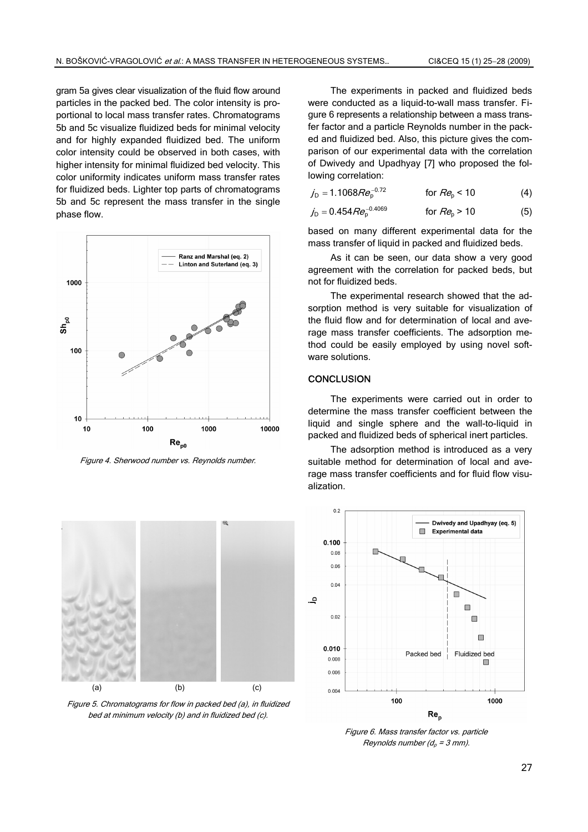gram 5a gives clear visualization of the fluid flow around particles in the packed bed. The color intensity is proportional to local mass transfer rates. Chromatograms 5b and 5c visualize fluidized beds for minimal velocity and for highly expanded fluidized bed. The uniform color intensity could be observed in both cases, with higher intensity for minimal fluidized bed velocity. This color uniformity indicates uniform mass transfer rates for fluidized beds. Lighter top parts of chromatograms 5b and 5c represent the mass transfer in the single phase flow.



Figure 4. Sherwood number vs. Reynolds number.



Figure 5. Chromatograms for flow in packed bed (a), in fluidized bed at minimum velocity (b) and in fluidized bed (c).

The experiments in packed and fluidized beds were conducted as a liquid-to-wall mass transfer. Figure 6 represents a relationship between a mass transfer factor and a particle Reynolds number in the packed and fluidized bed. Also, this picture gives the comparison of our experimental data with the correlation of Dwivedy and Upadhyay [7] who proposed the following correlation:

$$
j_D = 1.1068 Re_p^{-0.72}
$$
 for  $Re_p < 10$  (4)

$$
j_D = 0.454 Re_p^{-0.4069}
$$
 for  $Re_p > 10$  (5)

based on many different experimental data for the mass transfer of liquid in packed and fluidized beds.

As it can be seen, our data show a very good agreement with the correlation for packed beds, but not for fluidized beds.

The experimental research showed that the adsorption method is very suitable for visualization of the fluid flow and for determination of local and average mass transfer coefficients. The adsorption method could be easily employed by using novel software solutions.

### **CONCLUSION**

The experiments were carried out in order to determine the mass transfer coefficient between the liquid and single sphere and the wall-to-liquid in packed and fluidized beds of spherical inert particles.

The adsorption method is introduced as a very suitable method for determination of local and average mass transfer coefficients and for fluid flow visualization.



Figure 6. Mass transfer factor vs. particle Reynolds number  $(d_p = 3$  mm).